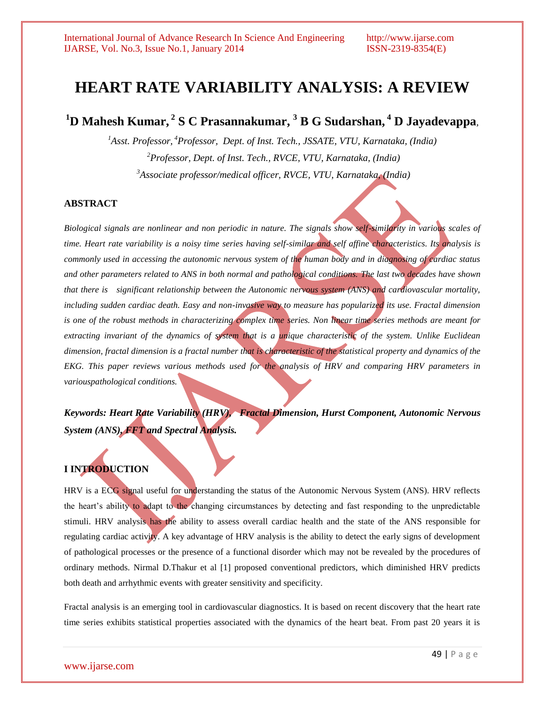# **HEART RATE VARIABILITY ANALYSIS: A REVIEW**

# **<sup>1</sup>D Mahesh Kumar, <sup>2</sup> S C Prasannakumar, <sup>3</sup> B G Sudarshan, <sup>4</sup> D Jayadevappa***,*

*<sup>1</sup>Asst. Professor, <sup>4</sup>Professor, Dept. of Inst. Tech., JSSATE, VTU, Karnataka, (India) <sup>2</sup>Professor, Dept. of Inst. Tech., RVCE, VTU, Karnataka, (India) <sup>3</sup>Associate professor/medical officer, RVCE, VTU, Karnataka, (India)*

# **ABSTRACT**

*Biological signals are nonlinear and non periodic in nature. The signals show self-similarity in various scales of time. Heart rate variability is a noisy time series having self-similar and self affine characteristics. Its analysis is commonly used in accessing the autonomic nervous system of the human body and in diagnosing of cardiac status and other parameters related to ANS in both normal and pathological conditions. The last two decades have shown that there is significant relationship between the Autonomic nervous system (ANS) and cardiovascular mortality, including sudden cardiac death. Easy and non-invasive way to measure has popularized its use. Fractal dimension is one of the robust methods in characterizing complex time series. Non linear time series methods are meant for extracting invariant of the dynamics of system that is a unique characteristic of the system. Unlike Euclidean dimension, fractal dimension is a fractal number that is characteristic of the statistical property and dynamics of the EKG. This paper reviews various methods used for the analysis of HRV and comparing HRV parameters in variouspathological conditions.*

*Keywords: Heart Rate Variability (HRV), Fractal Dimension, Hurst Component, Autonomic Nervous System (ANS), FFT and Spectral Analysis.*

# **I INTRODUCTION**

HRV is a ECG signal useful for understanding the status of the Autonomic Nervous System (ANS). HRV reflects the heart"s ability to adapt to the changing circumstances by detecting and fast responding to the unpredictable stimuli. HRV analysis has the ability to assess overall cardiac health and the state of the ANS responsible for regulating cardiac activity. A key advantage of HRV analysis is the ability to detect the early signs of development of pathological processes or the presence of a functional disorder which may not be revealed by the procedures of ordinary methods. Nirmal D.Thakur et al [1] proposed conventional predictors, which diminished HRV predicts both death and arrhythmic events with greater sensitivity and specificity.

Fractal analysis is an emerging tool in cardiovascular diagnostics. It is based on recent discovery that the heart rate time series exhibits statistical properties associated with the dynamics of the heart beat. From past 20 years it is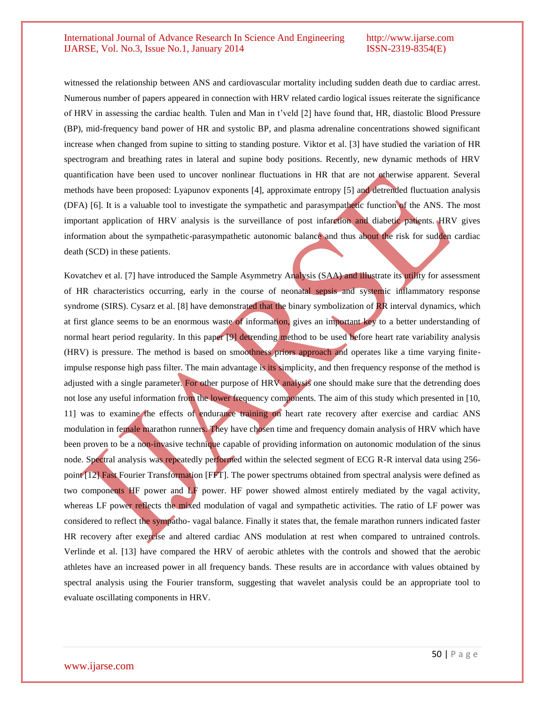witnessed the relationship between ANS and cardiovascular mortality including sudden death due to cardiac arrest. Numerous number of papers appeared in connection with HRV related cardio logical issues reiterate the significance of HRV in assessing the cardiac health. Tulen and Man in t"veld [2] have found that, HR, diastolic Blood Pressure (BP), mid-frequency band power of HR and systolic BP, and plasma adrenaline concentrations showed significant increase when changed from supine to sitting to standing posture. Viktor et al. [3] have studied the variation of HR spectrogram and breathing rates in lateral and supine body positions. Recently, new dynamic methods of HRV quantification have been used to uncover nonlinear fluctuations in HR that are not otherwise apparent. Several methods have been proposed: Lyapunov exponents [4], approximate entropy [5] and detrended fluctuation analysis (DFA) [6]. It is a valuable tool to investigate the sympathetic and parasympathetic function of the ANS. The most important application of HRV analysis is the surveillance of post infarction and diabetic patients. HRV gives information about the sympathetic-parasympathetic autonomic balance and thus about the risk for sudden cardiac death (SCD) in these patients.

Kovatchev et al. [7] have introduced the Sample Asymmetry Analysis (SAA) and illustrate its utility for assessment of HR characteristics occurring, early in the course of neonatal sepsis and systemic inflammatory response syndrome (SIRS). Cysarz et al. [8] have demonstrated that the binary symbolization of RR interval dynamics, which at first glance seems to be an enormous waste of information, gives an important key to a better understanding of normal heart period regularity. In this paper [9] detrending method to be used before heart rate variability analysis (HRV) is pressure. The method is based on smoothness priors approach and operates like a time varying finiteimpulse response high pass filter. The main advantage is its simplicity, and then frequency response of the method is adjusted with a single parameter. For other purpose of HRV analysis one should make sure that the detrending does not lose any useful information from the lower frequency components. The aim of this study which presented in [10, 11] was to examine the effects of endurance training on heart rate recovery after exercise and cardiac ANS modulation in female marathon runners. They have chosen time and frequency domain analysis of HRV which have been proven to be a non-invasive technique capable of providing information on autonomic modulation of the sinus node. Spectral analysis was repeatedly performed within the selected segment of ECG R-R interval data using 256 point [12] Fast Fourier Transformation [FFT]. The power spectrums obtained from spectral analysis were defined as two components HF power and LF power. HF power showed almost entirely mediated by the vagal activity, whereas LF power reflects the mixed modulation of vagal and sympathetic activities. The ratio of LF power was considered to reflect the sympatho- vagal balance. Finally it states that, the female marathon runners indicated faster HR recovery after exercise and altered cardiac ANS modulation at rest when compared to untrained controls. Verlinde et al. [13] have compared the HRV of aerobic athletes with the controls and showed that the aerobic athletes have an increased power in all frequency bands. These results are in accordance with values obtained by spectral analysis using the Fourier transform, suggesting that wavelet analysis could be an appropriate tool to evaluate oscillating components in HRV.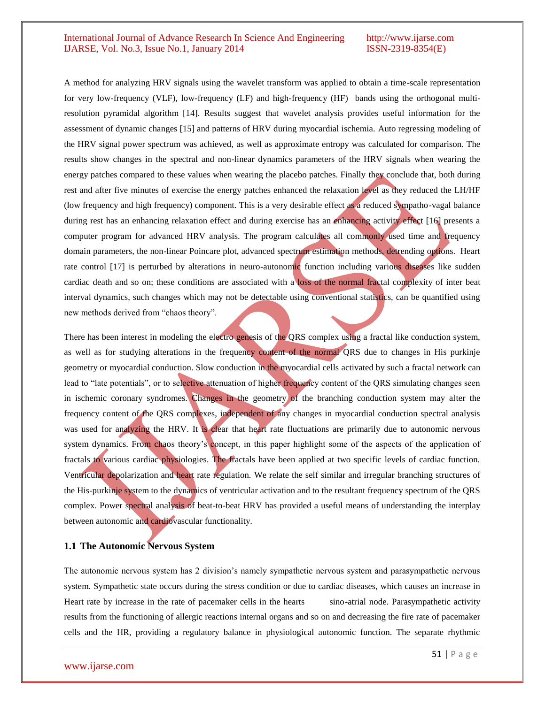A method for analyzing HRV signals using the wavelet transform was applied to obtain a time-scale representation for very low-frequency (VLF), low-frequency (LF) and high-frequency (HF) bands using the orthogonal multiresolution pyramidal algorithm [14]. Results suggest that wavelet analysis provides useful information for the assessment of dynamic changes [15] and patterns of HRV during myocardial ischemia. Auto regressing modeling of the HRV signal power spectrum was achieved, as well as approximate entropy was calculated for comparison. The results show changes in the spectral and non-linear dynamics parameters of the HRV signals when wearing the energy patches compared to these values when wearing the placebo patches. Finally they conclude that, both during rest and after five minutes of exercise the energy patches enhanced the relaxation level as they reduced the LH/HF (low frequency and high frequency) component. This is a very desirable effect as a reduced sympatho-vagal balance during rest has an enhancing relaxation effect and during exercise has an enhancing activity effect [16] presents a computer program for advanced HRV analysis. The program calculates all commonly used time and frequency domain parameters, the non-linear Poincare plot, advanced spectrum estimation methods, detrending options. Heart rate control [17] is perturbed by alterations in neuro-autonomic function including various diseases like sudden cardiac death and so on; these conditions are associated with a loss of the normal fractal complexity of inter beat interval dynamics, such changes which may not be detectable using conventional statistics, can be quantified using new methods derived from "chaos theory".

There has been interest in modeling the electro genesis of the QRS complex using a fractal like conduction system, as well as for studying alterations in the frequency content of the normal QRS due to changes in His purkinje geometry or myocardial conduction. Slow conduction in the myocardial cells activated by such a fractal network can lead to "late potentials", or to selective attenuation of higher frequency content of the QRS simulating changes seen in ischemic coronary syndromes. Changes in the geometry of the branching conduction system may alter the frequency content of the QRS complexes, independent of any changes in myocardial conduction spectral analysis was used for analyzing the HRV. It is clear that heart rate fluctuations are primarily due to autonomic nervous system dynamics. From chaos theory's concept, in this paper highlight some of the aspects of the application of fractals to various cardiac physiologies. The fractals have been applied at two specific levels of cardiac function. Ventricular depolarization and heart rate regulation. We relate the self similar and irregular branching structures of the His-purkinje system to the dynamics of ventricular activation and to the resultant frequency spectrum of the QRS complex. Power spectral analysis of beat-to-beat HRV has provided a useful means of understanding the interplay between autonomic and cardiovascular functionality.

#### **1.1 The Autonomic Nervous System**

The autonomic nervous system has 2 division"s namely sympathetic nervous system and parasympathetic nervous system. Sympathetic state occurs during the stress condition or due to cardiac diseases, which causes an increase in Heart rate by increase in the rate of pacemaker cells in the hearts sino-atrial node. Parasympathetic activity results from the functioning of allergic reactions internal organs and so on and decreasing the fire rate of pacemaker cells and the HR, providing a regulatory balance in physiological autonomic function. The separate rhythmic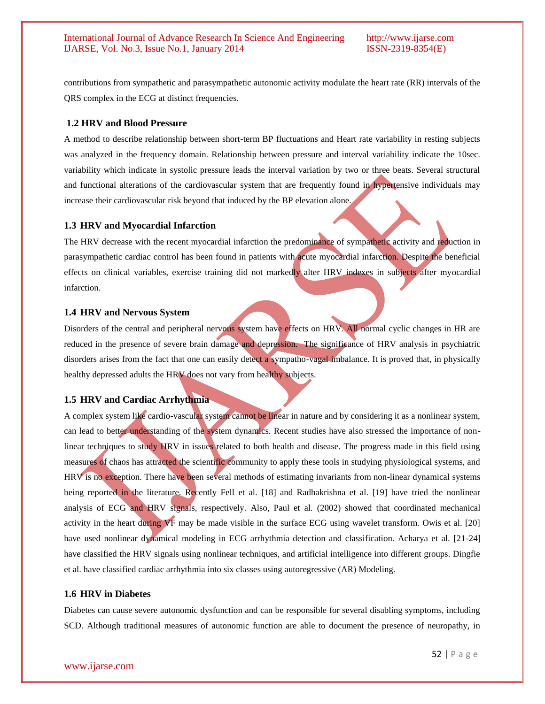contributions from sympathetic and parasympathetic autonomic activity modulate the heart rate (RR) intervals of the QRS complex in the ECG at distinct frequencies.

# **1.2 HRV and Blood Pressure**

A method to describe relationship between short-term BP fluctuations and Heart rate variability in resting subjects was analyzed in the frequency domain. Relationship between pressure and interval variability indicate the 10sec. variability which indicate in systolic pressure leads the interval variation by two or three beats. Several structural and functional alterations of the cardiovascular system that are frequently found in hypertensive individuals may increase their cardiovascular risk beyond that induced by the BP elevation alone.

## **1.3 HRV and Myocardial Infarction**

The HRV decrease with the recent myocardial infarction the predominance of sympathetic activity and reduction in parasympathetic cardiac control has been found in patients with acute myocardial infarction. Despite the beneficial effects on clinical variables, exercise training did not markedly alter HRV indexes in subjects after myocardial infarction.

## **1.4 HRV and Nervous System**

Disorders of the central and peripheral nervous system have effects on HRV. All normal cyclic changes in HR are reduced in the presence of severe brain damage and depression. The significance of HRV analysis in psychiatric disorders arises from the fact that one can easily detect a sympatho-vagal imbalance. It is proved that, in physically healthy depressed adults the HRV does not vary from healthy subjects.

# **1.5 HRV and Cardiac Arrhythmia**

A complex system like cardio-vascular system cannot be linear in nature and by considering it as a nonlinear system, can lead to better understanding of the system dynamics. Recent studies have also stressed the importance of nonlinear techniques to study HRV in issues related to both health and disease. The progress made in this field using measures of chaos has attracted the scientific community to apply these tools in studying physiological systems, and HRV is no exception. There have been several methods of estimating invariants from non-linear dynamical systems being reported in the literature. Recently Fell et al. [18] and Radhakrishna et al. [19] have tried the nonlinear analysis of ECG and HRV signals, respectively. Also, Paul et al. (2002) showed that coordinated mechanical activity in the heart during VF may be made visible in the surface ECG using wavelet transform. Owis et al. [20] have used nonlinear dynamical modeling in ECG arrhythmia detection and classification. Acharya et al. [21-24] have classified the HRV signals using nonlinear techniques, and artificial intelligence into different groups. Dingfie et al. have classified cardiac arrhythmia into six classes using autoregressive (AR) Modeling.

#### **1.6 HRV in Diabetes**

Diabetes can cause severe autonomic dysfunction and can be responsible for several disabling symptoms, including SCD. Although traditional measures of autonomic function are able to document the presence of neuropathy, in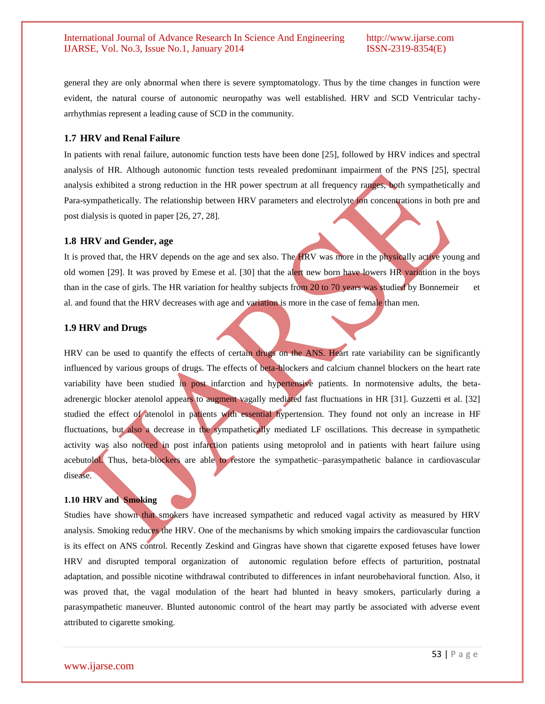general they are only abnormal when there is severe symptomatology. Thus by the time changes in function were evident, the natural course of autonomic neuropathy was well established. HRV and SCD Ventricular tachyarrhythmias represent a leading cause of SCD in the community.

#### **1.7 HRV and Renal Failure**

In patients with renal failure, autonomic function tests have been done [25], followed by HRV indices and spectral analysis of HR. Although autonomic function tests revealed predominant impairment of the PNS [25], spectral analysis exhibited a strong reduction in the HR power spectrum at all frequency ranges, both sympathetically and Para-sympathetically. The relationship between HRV parameters and electrolyte ion concentrations in both pre and post dialysis is quoted in paper [26, 27, 28].

## **1.8 HRV and Gender, age**

It is proved that, the HRV depends on the age and sex also. The HRV was more in the physically active young and old women [29]. It was proved by Emese et al. [30] that the alert new born have lowers HR variation in the boys than in the case of girls. The HR variation for healthy subjects from 20 to 70 years was studied by Bonnemeir et al. and found that the HRV decreases with age and variation is more in the case of female than men.

# **1.9 HRV and Drugs**

HRV can be used to quantify the effects of certain drugs on the ANS. Heart rate variability can be significantly influenced by various groups of drugs. The effects of beta-blockers and calcium channel blockers on the heart rate variability have been studied in post infarction and hypertensive patients. In normotensive adults, the betaadrenergic blocker atenolol appears to augment vagally mediated fast fluctuations in HR [31]. Guzzetti et al. [32] studied the effect of atenolol in patients with essential hypertension. They found not only an increase in HF fluctuations, but also a decrease in the sympathetically mediated LF oscillations. This decrease in sympathetic activity was also noticed in post infarction patients using metoprolol and in patients with heart failure using acebutolol. Thus, beta-blockers are able to restore the sympathetic–parasympathetic balance in cardiovascular disease.

#### **1.10 HRV and Smoking**

Studies have shown that smokers have increased sympathetic and reduced vagal activity as measured by HRV analysis. Smoking reduces the HRV. One of the mechanisms by which smoking impairs the cardiovascular function is its effect on ANS control. Recently Zeskind and Gingras have shown that cigarette exposed fetuses have lower HRV and disrupted temporal organization of autonomic regulation before effects of parturition, postnatal adaptation, and possible nicotine withdrawal contributed to differences in infant neurobehavioral function. Also, it was proved that, the vagal modulation of the heart had blunted in heavy smokers, particularly during a parasympathetic maneuver. Blunted autonomic control of the heart may partly be associated with adverse event attributed to cigarette smoking.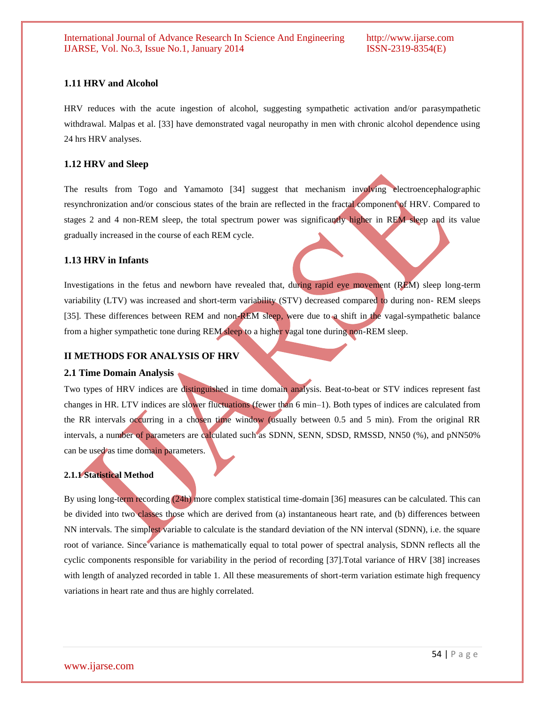# **1.11 HRV and Alcohol**

HRV reduces with the acute ingestion of alcohol, suggesting sympathetic activation and/or parasympathetic withdrawal. Malpas et al. [33] have demonstrated vagal neuropathy in men with chronic alcohol dependence using 24 hrs HRV analyses.

#### **1.12 HRV and Sleep**

The results from Togo and Yamamoto [34] suggest that mechanism involving electroencephalographic resynchronization and/or conscious states of the brain are reflected in the fractal component of HRV. Compared to stages 2 and 4 non-REM sleep, the total spectrum power was significantly higher in REM sleep and its value gradually increased in the course of each REM cycle.

#### **1.13 HRV in Infants**

Investigations in the fetus and newborn have revealed that, during rapid eye movement (REM) sleep long-term variability (LTV) was increased and short-term variability (STV) decreased compared to during non- REM sleeps [35]. These differences between REM and non-REM sleep, were due to a shift in the vagal-sympathetic balance from a higher sympathetic tone during REM sleep to a higher vagal tone during non-REM sleep.

#### **II METHODS FOR ANALYSIS OF HRV**

#### **2.1 Time Domain Analysis**

Two types of HRV indices are distinguished in time domain analysis. Beat-to-beat or STV indices represent fast changes in HR. LTV indices are slower fluctuations (fewer than 6 min–1). Both types of indices are calculated from the RR intervals occurring in a chosen time window (usually between 0.5 and 5 min). From the original RR intervals, a number of parameters are calculated such as SDNN, SENN, SDSD, RMSSD, NN50 (%), and pNN50% can be used as time domain parameters.

#### **2.1.1 Statistical Method**

By using long-term recording (24h) more complex statistical time-domain [36] measures can be calculated. This can be divided into two classes those which are derived from (a) instantaneous heart rate, and (b) differences between NN intervals. The simplest variable to calculate is the standard deviation of the NN interval (SDNN), i.e. the square root of variance. Since variance is mathematically equal to total power of spectral analysis, SDNN reflects all the cyclic components responsible for variability in the period of recording [37].Total variance of HRV [38] increases with length of analyzed recorded in table 1. All these measurements of short-term variation estimate high frequency variations in heart rate and thus are highly correlated.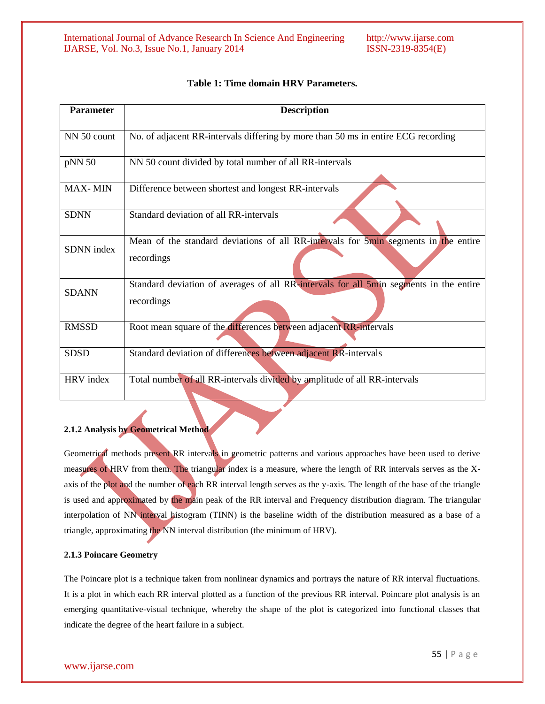| <b>Parameter</b> | <b>Description</b>                                                                                   |
|------------------|------------------------------------------------------------------------------------------------------|
| NN 50 count      | No. of adjacent RR-intervals differing by more than 50 ms in entire ECG recording                    |
| pNN 50           | NN 50 count divided by total number of all RR-intervals                                              |
| <b>MAX-MIN</b>   | Difference between shortest and longest RR-intervals                                                 |
| <b>SDNN</b>      | Standard deviation of all RR-intervals                                                               |
| SDNN index       | Mean of the standard deviations of all RR-intervals for 5min segments in the entire<br>recordings    |
| <b>SDANN</b>     | Standard deviation of averages of all RR-intervals for all 5min segments in the entire<br>recordings |
| <b>RMSSD</b>     | Root mean square of the differences between adjacent RR-intervals                                    |
| <b>SDSD</b>      | Standard deviation of differences between adjacent RR-intervals                                      |

# **Table 1: Time domain HRV Parameters.**

HRV index Total number of all RR-intervals divided by amplitude of all RR-intervals

## **2.1.2 Analysis by Geometrical Method**

Geometrical methods present RR intervals in geometric patterns and various approaches have been used to derive measures of HRV from them. The triangular index is a measure, where the length of RR intervals serves as the Xaxis of the plot and the number of each RR interval length serves as the y-axis. The length of the base of the triangle is used and approximated by the main peak of the RR interval and Frequency distribution diagram. The triangular interpolation of NN interval histogram (TINN) is the baseline width of the distribution measured as a base of a triangle, approximating the NN interval distribution (the minimum of HRV).

#### **2.1.3 Poincare Geometry**

The Poincare plot is a technique taken from nonlinear dynamics and portrays the nature of RR interval fluctuations. It is a plot in which each RR interval plotted as a function of the previous RR interval. Poincare plot analysis is an emerging quantitative-visual technique, whereby the shape of the plot is categorized into functional classes that indicate the degree of the heart failure in a subject.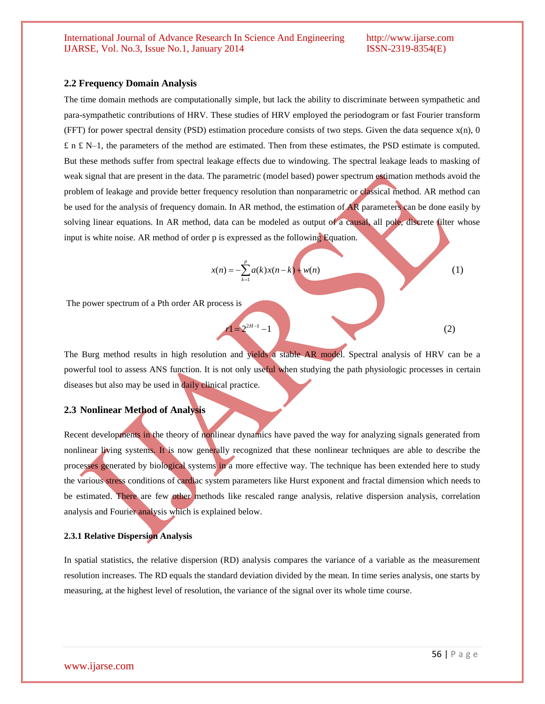#### **2.2 Frequency Domain Analysis**

The time domain methods are computationally simple, but lack the ability to discriminate between sympathetic and para-sympathetic contributions of HRV. These studies of HRV employed the periodogram or fast Fourier transform (FFT) for power spectral density (PSD) estimation procedure consists of two steps. Given the data sequence  $x(n)$ , 0  $£$  n  $£$  N–1, the parameters of the method are estimated. Then from these estimates, the PSD estimate is computed. But these methods suffer from spectral leakage effects due to windowing. The spectral leakage leads to masking of weak signal that are present in the data. The parametric (model based) power spectrum estimation methods avoid the problem of leakage and provide better frequency resolution than nonparametric or classical method. AR method can be used for the analysis of frequency domain. In AR method, the estimation of AR parameters can be done easily by solving linear equations. In AR method, data can be modeled as output of a causal, all pole, discrete filter whose input is white noise. AR method of order p is expressed as the following Equation.

$$
x(n) = -\sum_{k=1}^{p} a(k)x(n-k) + w(n)
$$
 (1)

The power spectrum of a Pth order AR process is

The Burg method results in high resolution and yields a stable AR model. Spectral analysis of HRV can be a powerful tool to assess ANS function. It is not only useful when studying the path physiologic processes in certain diseases but also may be used in daily clinical practice.

 $r1 = 2^{2H-1} - 1$  (2)

#### **2.3 Nonlinear Method of Analysis**

Recent developments in the theory of nonlinear dynamics have paved the way for analyzing signals generated from nonlinear living systems. It is now generally recognized that these nonlinear techniques are able to describe the processes generated by biological systems in a more effective way. The technique has been extended here to study the various stress conditions of cardiac system parameters like Hurst exponent and fractal dimension which needs to be estimated. There are few other methods like rescaled range analysis, relative dispersion analysis, correlation analysis and Fourier analysis which is explained below.

#### **2.3.1 Relative Dispersion Analysis**

In spatial statistics, the relative dispersion (RD) analysis compares the variance of a variable as the measurement resolution increases. The RD equals the standard deviation divided by the mean. In time series analysis, one starts by measuring, at the highest level of resolution, the variance of the signal over its whole time course.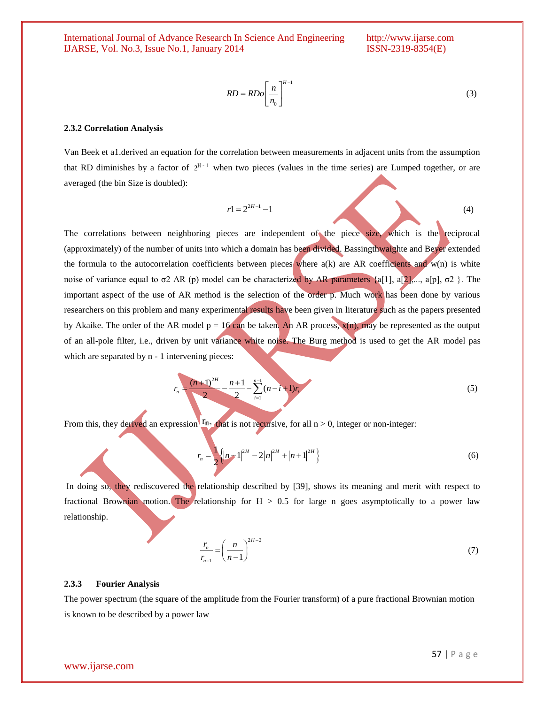$$
RD = RDo\left[\frac{n}{n_0}\right]^{H-1} \tag{3}
$$

#### **2.3.2 Correlation Analysis**

Van Beek et a1.derived an equation for the correlation between measurements in adjacent units from the assumption that RD diminishes by a factor of  $2^{H-1}$  when two pieces (values in the time series) are Lumped together, or are averaged (the bin Size is doubled):

$$
r1 = 2^{2H-1} - 1\tag{4}
$$

The correlations between neighboring pieces are independent of the piece size, which is the reciprocal (approximately) of the number of units into which a domain has been divided. Bassingthwaighte and Beyer extended the formula to the autocorrelation coefficients between pieces where  $a(k)$  are AR coefficients and w(n) is white noise of variance equal to σ2 AR (p) model can be characterized by AR parameters {a[1], a[2],..., a[p], σ2 }. The important aspect of the use of AR method is the selection of the order p. Much work has been done by various researchers on this problem and many experimental results have been given in literature such as the papers presented by Akaike. The order of the AR model  $p = 16$  can be taken. An AR process,  $x(n)$ , may be represented as the output of an all-pole filter, i.e., driven by unit variance white noise. The Burg method is used to get the AR model pas which are separated by  $n - 1$  intervening pieces:

$$
r_n = \frac{(n+1)^{2H}}{2} - \frac{n+1}{2} - \sum_{i=1}^{n-1} (n-i+1)r_i
$$
 (5)

From this, they derived an expression  $\Gamma_n$ , that is not recursive, for all n > 0, integer or non-integer:

$$
r_n = \frac{1}{2} \left\{ \left| n - 1 \right|^{2H} - 2 \left| n \right|^{2H} + \left| n + 1 \right|^{2H} \right\} \tag{6}
$$

In doing so, they rediscovered the relationship described by [39], shows its meaning and merit with respect to fractional Brownian motion. The relationship for  $H > 0.5$  for large n goes asymptotically to a power law relationship.

$$
\frac{r_n}{r_{n-1}} = \left(\frac{n}{n-1}\right)^{2H-2}
$$
\n(7)

#### **2.3.3 Fourier Analysis**

The power spectrum (the square of the amplitude from the Fourier transform) of a pure fractional Brownian motion is known to be described by a power law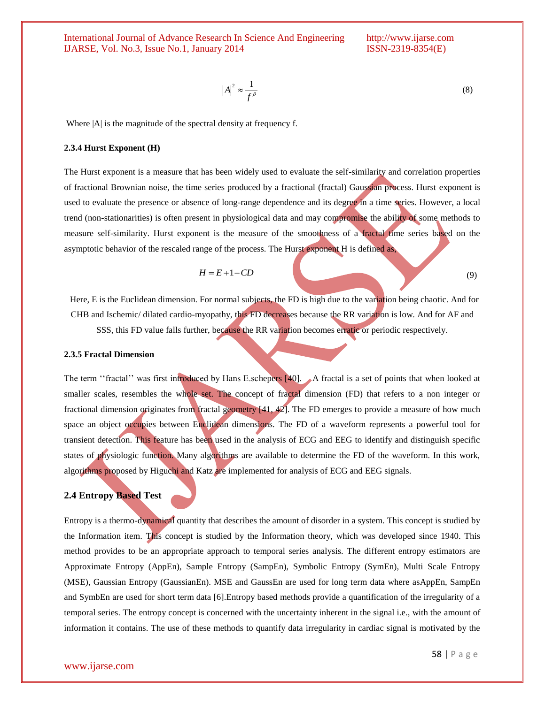$$
|A|^2 \approx \frac{1}{f^\beta} \tag{8}
$$

Where  $|A|$  is the magnitude of the spectral density at frequency f.

#### **2.3.4 Hurst Exponent (H)**

The Hurst exponent is a measure that has been widely used to evaluate the self-similarity and correlation properties of fractional Brownian noise, the time series produced by a fractional (fractal) Gaussian process. Hurst exponent is used to evaluate the presence or absence of long-range dependence and its degree in a time series. However, a local trend (non-stationarities) is often present in physiological data and may compromise the ability of some methods to measure self-similarity. Hurst exponent is the measure of the smoothness of a fractal time series based on the asymptotic behavior of the rescaled range of the process. The Hurst exponent H is defined as,

$$
H = E + 1 - CD \tag{9}
$$

 Here, E is the Euclidean dimension. For normal subjects, the FD is high due to the variation being chaotic. And for CHB and Ischemic/ dilated cardio-myopathy, this FD decreases because the RR variation is low. And for AF and SSS, this FD value falls further, because the RR variation becomes erratic or periodic respectively.

#### **2.3.5 Fractal Dimension**

The term "fractal" was first introduced by Hans E.schepers [40]. A fractal is a set of points that when looked at smaller scales, resembles the whole set. The concept of fractal dimension (FD) that refers to a non integer or fractional dimension originates from fractal geometry [41, 42]. The FD emerges to provide a measure of how much space an object occupies between Euclidean dimensions. The FD of a waveform represents a powerful tool for transient detection. This feature has been used in the analysis of ECG and EEG to identify and distinguish specific states of physiologic function. Many algorithms are available to determine the FD of the waveform. In this work, algorithms proposed by Higuchi and Katz are implemented for analysis of ECG and EEG signals.

# **2.4 Entropy Based Test**

Entropy is a thermo-dynamical quantity that describes the amount of disorder in a system. This concept is studied by the Information item. This concept is studied by the Information theory, which was developed since 1940. This method provides to be an appropriate approach to temporal series analysis. The different entropy estimators are Approximate Entropy (AppEn), Sample Entropy (SampEn), Symbolic Entropy (SymEn), Multi Scale Entropy (MSE), Gaussian Entropy (GaussianEn). MSE and GaussEn are used for long term data where asAppEn, SampEn and SymbEn are used for short term data [6].Entropy based methods provide a quantification of the irregularity of a temporal series. The entropy concept is concerned with the uncertainty inherent in the signal i.e., with the amount of information it contains. The use of these methods to quantify data irregularity in cardiac signal is motivated by the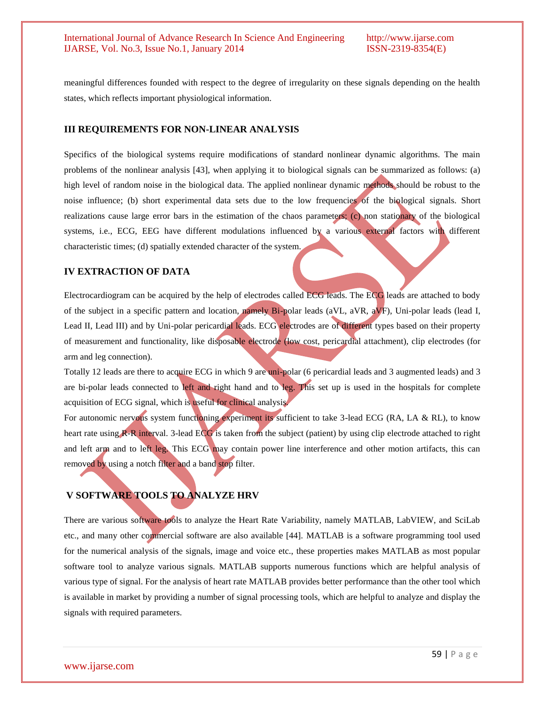meaningful differences founded with respect to the degree of irregularity on these signals depending on the health states, which reflects important physiological information.

## **III REQUIREMENTS FOR NON-LINEAR ANALYSIS**

Specifics of the biological systems require modifications of standard nonlinear dynamic algorithms. The main problems of the nonlinear analysis [43], when applying it to biological signals can be summarized as follows: (a) high level of random noise in the biological data. The applied nonlinear dynamic methods should be robust to the noise influence; (b) short experimental data sets due to the low frequencies of the biological signals. Short realizations cause large error bars in the estimation of the chaos parameters; (c) non stationary of the biological systems, i.e., ECG, EEG have different modulations influenced by a various external factors with different characteristic times; (d) spatially extended character of the system.

# **IV EXTRACTION OF DATA**

Electrocardiogram can be acquired by the help of electrodes called ECG leads. The ECG leads are attached to body of the subject in a specific pattern and location, namely Bi-polar leads (aVL, aVR, aVF), Uni-polar leads (lead I, Lead II, Lead III) and by Uni-polar pericardial leads. ECG electrodes are of different types based on their property of measurement and functionality, like disposable electrode (low cost, pericardial attachment), clip electrodes (for arm and leg connection).

Totally 12 leads are there to acquire ECG in which 9 are uni-polar (6 pericardial leads and 3 augmented leads) and 3 are bi-polar leads connected to left and right hand and to leg. This set up is used in the hospitals for complete acquisition of ECG signal, which is useful for clinical analysis.

For autonomic nervous system functioning experiment its sufficient to take 3-lead ECG (RA, LA & RL), to know heart rate using **R-R** interval. 3-lead ECG is taken from the subject (patient) by using clip electrode attached to right and left arm and to left leg. This ECG may contain power line interference and other motion artifacts, this can removed by using a notch filter and a band stop filter.

# **V SOFTWARE TOOLS TO ANALYZE HRV**

There are various software tools to analyze the Heart Rate Variability, namely MATLAB, LabVIEW, and SciLab etc., and many other commercial software are also available [44]. MATLAB is a software programming tool used for the numerical analysis of the signals, image and voice etc., these properties makes MATLAB as most popular software tool to analyze various signals. MATLAB supports numerous functions which are helpful analysis of various type of signal. For the analysis of heart rate MATLAB provides better performance than the other tool which is available in market by providing a number of signal processing tools, which are helpful to analyze and display the signals with required parameters.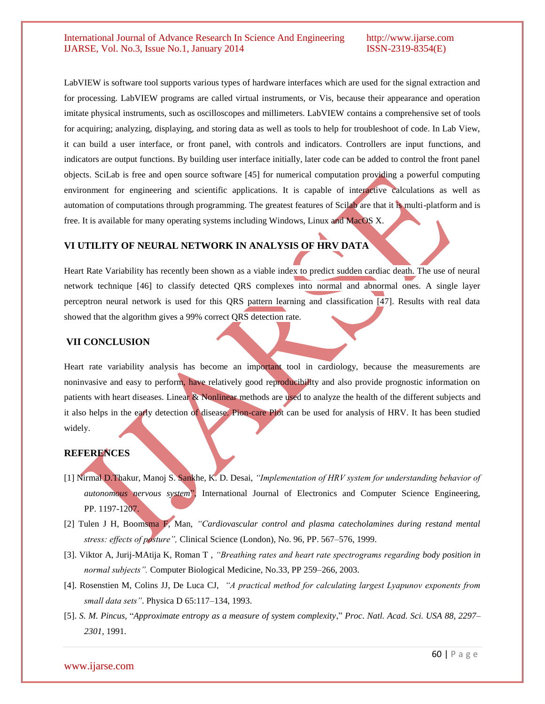LabVIEW is software tool supports various types of hardware interfaces which are used for the signal extraction and for processing. LabVIEW programs are called virtual instruments, or Vis, because their appearance and operation imitate physical instruments, such as oscilloscopes and millimeters. LabVIEW contains a comprehensive set of tools for acquiring; analyzing, displaying, and storing data as well as tools to help for troubleshoot of code. In Lab View, it can build a user interface, or front panel, with controls and indicators. Controllers are input functions, and indicators are output functions. By building user interface initially, later code can be added to control the front panel objects. SciLab is free and open source software [45] for numerical computation providing a powerful computing environment for engineering and scientific applications. It is capable of interactive calculations as well as automation of computations through programming. The greatest features of Scilab are that it is multi-platform and is free. It is available for many operating systems including Windows, Linux and MacOS X.

# **VI UTILITY OF NEURAL NETWORK IN ANALYSIS OF HRV DATA**

Heart Rate Variability has recently been shown as a viable index to predict sudden cardiac death. The use of neural network technique [46] to classify detected QRS complexes into normal and abnormal ones. A single layer perceptron neural network is used for this QRS pattern learning and classification [47]. Results with real data showed that the algorithm gives a 99% correct QRS detection rate.

## **VII CONCLUSION**

Heart rate variability analysis has become an important tool in cardiology, because the measurements are noninvasive and easy to perform, have relatively good reproducibility and also provide prognostic information on patients with heart diseases. Linear & Nonlinear methods are used to analyze the health of the different subjects and it also helps in the early detection of disease. Pion-care Plot can be used for analysis of HRV. It has been studied widely.

#### **REFERENCES**

- [1] Nirmal D.Thakur, Manoj S. Sankhe, K. D. Desai, *"Implementation of HRV system for understanding behavior of autonomous nervous system*", International Journal of Electronics and Computer Science Engineering, PP. 1197-1207.
- [2] Tulen J H, Boomsma F, Man, *"Cardiovascular control and plasma catecholamines during restand mental stress: effects of posture",* Clinical Science (London), No. 96, PP. 567–576, 1999.
- [3]. Viktor A, Jurij-MAtija K, Roman T , *"Breathing rates and heart rate spectrograms regarding body position in normal subjects".* Computer Biological Medicine, No.33, PP 259–266, 2003.
- [4]. Rosenstien M, Colins JJ, De Luca CJ, *"A practical method for calculating largest Lyapunov exponents from small data sets"*. Physica D 65:117–134, 1993.
- [5]. *S. M. Pincus,* "*Approximate entropy as a measure of system complexity*," *Proc*. *Natl. Acad. Sci. USA 88, 2297– 2301,* 1991*.*

#### www.ijarse.com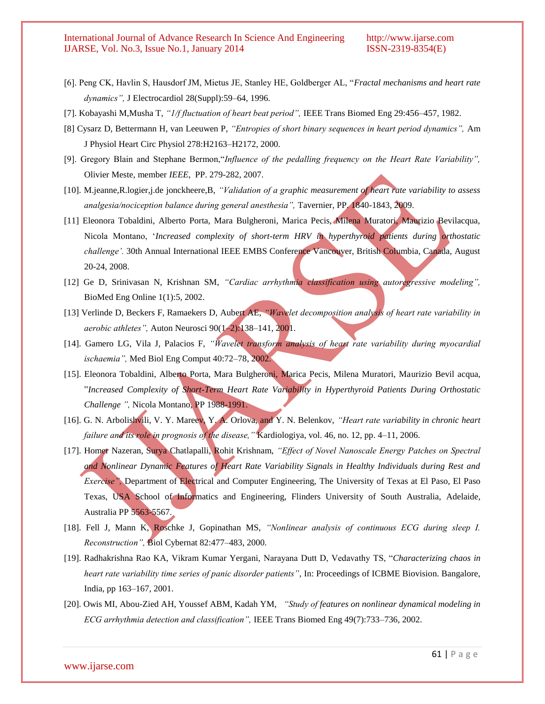- [6]. Peng CK, Havlin S, Hausdorf JM, Mietus JE, Stanley HE, Goldberger AL, "*Fractal mechanisms and heart rate dynamics",* J Electrocardiol 28(Suppl):59–64, 1996.
- [7]. Kobayashi M,Musha T, *"1/f fluctuation of heart beat period",* IEEE Trans Biomed Eng 29:456–457, 1982.
- [8] Cysarz D, Bettermann H, van Leeuwen P, *"Entropies of short binary sequences in heart period dynamics",* Am J Physiol Heart Circ Physiol 278:H2163–H2172, 2000.
- [9]. Gregory Blain and Stephane Bermon,"*Influence of the pedalling frequency on the Heart Rate Variability",* Olivier Meste, member *IEEE*, PP. 279-282, 2007.
- [10]. M.jeanne,R.logier,j.de jonckheere,B, *"Validation of a graphic measurement of heart rate variability to assess analgesia/nociception balance during general anesthesia",* Tavernier, PP. 1840-1843, 2009.
- [11] Eleonora Tobaldini, Alberto Porta, Mara Bulgheroni, Marica Pecis, Milena Muratori, Maurizio Bevilacqua, Nicola Montano, "*Increased complexity of short-term HRV in hyperthyroid patients during orthostatic challenge".* 30th Annual International IEEE EMBS Conference Vancouver, British Columbia, Canada, August 20-24, 2008.
- [12] Ge D, Srinivasan N, Krishnan SM, *"Cardiac arrhythmia classification using autoregressive modeling",* BioMed Eng Online 1(1):5, 2002.
- [13] Verlinde D, Beckers F, Ramaekers D, Aubert AE, *"Wavelet decomposition analysis of heart rate variability in aerobic athletes",* Auton Neurosci 90(1–2):138–141, 2001.
- [14]. Gamero LG, Vila J, Palacios F, *"Wavelet transform analysis of heart rate variability during myocardial ischaemia",* Med Biol Eng Comput 40:72–78, 2002.
- [15]. Eleonora Tobaldini, Alberto Porta, Mara Bulgheroni, Marica Pecis, Milena Muratori, Maurizio Bevil acqua, "*Increased Complexity of Short-Term Heart Rate Variability in Hyperthyroid Patients During Orthostatic Challenge ",* Nicola Montano, PP 1988-1991.
- [16]. G. N. Arbolishvili, V. Y. Mareev, Y. A. Orlova, and Y. N. Belenkov, *"Heart rate variability in chronic heart failure and its role in prognosis of the disease,"* Kardiologiya, vol. 46, no. 12, pp. 4–11, 2006.
- [17]. Homer Nazeran, Surya Chatlapalli, Rohit Krishnam, *"Effect of Novel Nanoscale Energy Patches on Spectral and Nonlinear Dynamic Features of Heart Rate Variability Signals in Healthy Individuals during Rest and Exercise*", Department of Electrical and Computer Engineering, The University of Texas at El Paso, El Paso Texas, USA School of Informatics and Engineering, Flinders University of South Australia, Adelaide, Australia PP 5563-5567.
- [18]. Fell J, Mann K, Roschke J, Gopinathan MS, *"Nonlinear analysis of continuous ECG during sleep I. Reconstruction",* Biol Cybernat 82:477–483, 2000.
- [19]. Radhakrishna Rao KA, Vikram Kumar Yergani, Narayana Dutt D, Vedavathy TS, "*Characterizing chaos in heart rate variability time series of panic disorder patients"*, In: Proceedings of ICBME Biovision. Bangalore, India, pp 163–167, 2001.
- [20]. Owis MI, Abou-Zied AH, Youssef ABM, Kadah YM, *"Study of features on nonlinear dynamical modeling in ECG arrhythmia detection and classification",* IEEE Trans Biomed Eng 49(7):733–736, 2002.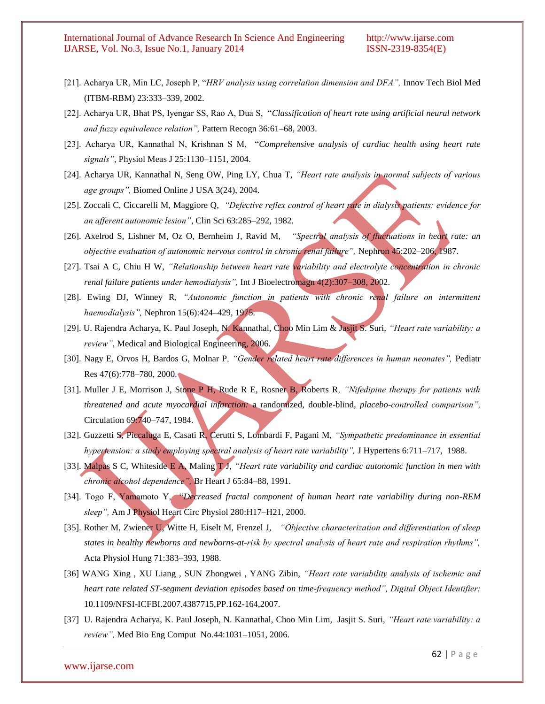- [21]. Acharya UR, Min LC, Joseph P, "*HRV analysis using correlation dimension and DFA",* Innov Tech Biol Med (ITBM-RBM) 23:333–339, 2002.
- [22]. Acharya UR, Bhat PS, Iyengar SS, Rao A, Dua S, "*Classification of heart rate using artificial neural network and fuzzy equivalence relation",* Pattern Recogn 36:61–68, 2003.
- [23]. Acharya UR, Kannathal N, Krishnan S M, "*Comprehensive analysis of cardiac health using heart rate signals"*, Physiol Meas J 25:1130–1151, 2004.
- [24]. Acharya UR, Kannathal N, Seng OW, Ping LY, Chua T, *"Heart rate analysis in normal subjects of various age groups",* Biomed Online J USA 3(24), 2004.
- [25]. Zoccali C, Ciccarelli M, Maggiore Q, *"Defective reflex control of heart rate in dialysis patients: evidence for an afferent autonomic lesion"*, Clin Sci 63:285–292, 1982.
- [26]. Axelrod S, Lishner M, Oz O, Bernheim J, Ravid M, *"Spectral analysis of fluctuations in heart rate: an objective evaluation of autonomic nervous control in chronic renal failure",* Nephron 45:202–206, 1987.
- [27]. Tsai A C, Chiu H W, *"Relationship between heart rate variability and electrolyte concentration in chronic renal failure patients under hemodialysis",* Int J Bioelectromagn 4(2):307–308, 2002.
- [28]. Ewing DJ, Winney R*, "Autonomic function in patients with chronic renal failure on intermittent haemodialysis",* Nephron 15(6):424–429, 1975.
- [29]. U. Rajendra Acharya, K. Paul Joseph, N. Kannathal, Choo Min Lim & Jasjit S. Suri, *"Heart rate variability: a review"*, Medical and Biological Engineering, 2006.
- [30]. Nagy E, Orvos H, Bardos G, Molnar P*, "Gender related heart rate differences in human neonates",* Pediatr Res 47(6):778–780, 2000.
- [31]. Muller J E, Morrison J, Stone P H, Rude R E, Rosner B, Roberts R*, "Nifedipine therapy for patients with threatened and acute myocardial infarction:* a randomized, double-blind, *placebo-controlled comparison",* Circulation 69:740–747, 1984.
- [32]. Guzzetti S, Piccaluga E, Casati R, Cerutti S, Lombardi F, Pagani M, *"Sympathetic predominance in essential hypertension: a study employing spectral analysis of heart rate variability"*, J Hypertens 6:711–717, 1988.
- [33]. Malpas S C, Whiteside E A, Maling **TJ**, *"Heart rate variability and cardiac autonomic function in men with chronic alcohol dependence",* Br Heart J 65:84–88, 1991.
- [34]. Togo F, Yamamoto Y, "*Decreased fractal component of human heart rate variability during non-REM sleep",* Am J Physiol Heart Circ Physiol 280:H17–H21, 2000.
- [35]. Rother M, Zwiener U, Witte H, Eiselt M, Frenzel J, *"Objective characterization and differentiation of sleep states in healthy newborns and newborns-at-risk by spectral analysis of heart rate and respiration rhythms",* Acta Physiol Hung 71:383–393, 1988.
- [36] WANG Xing , XU Liang , SUN Zhongwei , YANG Zibin, *"Heart rate variability analysis of ischemic and heart rate related ST-segment deviation episodes based on time-frequency method", Digital Object Identifier:* [10.1109/NFSI-ICFBI.2007.4387715,P](http://dx.doi.org/10.1109/NFSI-ICFBI.2007.4387715)P.162-164,2007.
- [37] U. Rajendra Acharya, K. Paul Joseph, N. Kannathal, Choo Min Lim, Jasjit S. Suri, *"Heart rate variability: a review",* Med Bio Eng Comput No.44:1031–1051, 2006.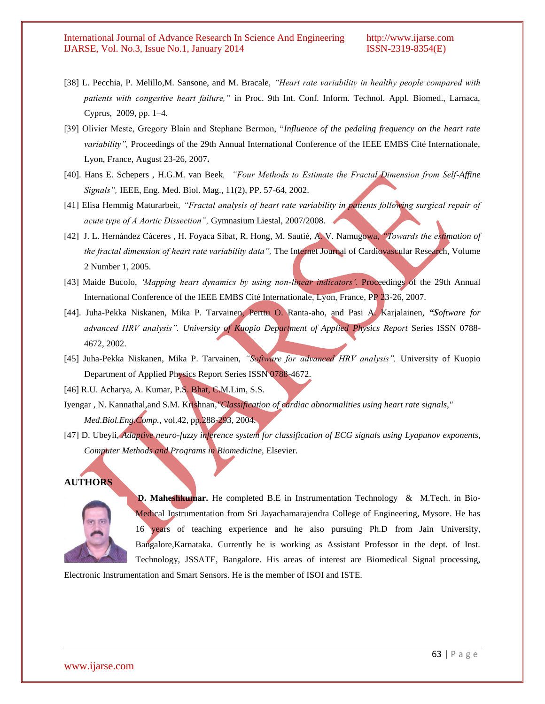- [38] L. Pecchia, P. Melillo,M. Sansone, and M. Bracale, *"Heart rate variability in healthy people compared with patients with congestive heart failure,"* in Proc. 9th Int. Conf. Inform. Technol. Appl. Biomed., Larnaca, Cyprus, 2009, pp. 1–4.
- [39] Olivier Meste, Gregory Blain and Stephane Bermon, "*Influence of the pedaling frequency on the heart rate variability",* Proceedings of the 29th Annual International Conference of the IEEE EMBS Cité Internationale, Lyon, France, August 23-26, 2007**.**
- [40]. Hans E. Schepers , H.G.M. van Beek*, "Four Methods to Estimate the Fractal Dimension from Self-Affine Signals",* IEEE, Eng. Med. Biol. Mag., 11(2), PP. 57-64, 2002.
- [41] Elisa Hemmig Maturarbeit*, "Fractal analysis of heart rate variability in patients following surgical repair of acute type of A Aortic Dissection",* Gymnasium Liestal, 2007/2008.
- [42]J. L. Hernández Cáceres , H. Foyaca Sibat, R. Hong, M. Sautié, A. V. Namugowa, *"Towards the estimation of the fractal dimension of heart rate variability data",* The Internet Journal of Cardiovascular Research, Volume 2 Number 1, 2005.
- [43] Maide Bucolo, *"Mapping heart dynamics by using non-linear indicators".* Proceedings of the 29th Annual International Conference of the IEEE EMBS Cité Internationale, Lyon, France, PP 23-26, 2007.
- [44]. Juha-Pekka Niskanen, Mika P. Tarvainen, Perttu O. Ranta-aho, and Pasi A. Karjalainen, *"Software for advanced HRV analysis". University of Kuopio Department of Applied Physics Report* Series ISSN 0788- 4672, 2002.
- [45] Juha-Pekka Niskanen, Mika P. Tarvainen, *"Software for advanced HRV analysis",* University of Kuopio Department of Applied Physics Report Series ISSN 0788-4672.
- [46] R.U. Acharya, A. Kumar, P.S. Bhat, C.M.Lim, S.S.
- Iyengar , N. Kannathal,and S.M. Krishnan*,"Classification of cardiac abnormalities using heart rate signals," Med.Biol.Eng.Comp.*, vol.42, pp.288-293, 2004.
- [47] D. Ubeyli, *Adaptive neuro-fuzzy inference system for classification of ECG signals using Lyapunov exponents, Computer Methods and Programs in Biomedicine,* Elsevier.

#### **AUTHORS**



**D. Maheshkumar.** He completed B.E in Instrumentation Technology & M.Tech. in Bio-Medical Instrumentation from Sri Jayachamarajendra College of Engineering, Mysore. He has 16 years of teaching experience and he also pursuing Ph.D from Jain University, Bangalore,Karnataka. Currently he is working as Assistant Professor in the dept. of Inst. Technology, JSSATE, Bangalore. His areas of interest are Biomedical Signal processing,

Electronic Instrumentation and Smart Sensors. He is the member of ISOI and ISTE.